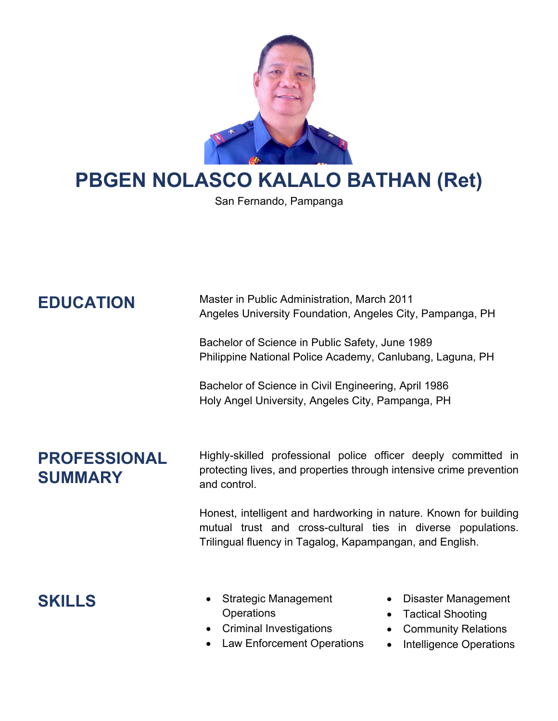

# **PBGEN NOLASCO KALALO BATHAN (Ret)**

San Fernando, Pampanga

**Master in Public Administration, March 2011** Angeles University Foundation, Angeles City, Pampanga, PH

Bachelor of Science in Public Safety, June 1989 Philippine National Police Academy, Canlubang, Laguna, PH

Bachelor of Science in Civil Engineering, April 1986 Holy Angel University, Angeles City, Pampanga, PH

### **PROFESSIONAL SUMMARY**

Highly-skilled professional police officer deeply committed in protecting lives, and properties through intensive crime prevention and control.

Honest, intelligent and hardworking in nature. Known for building mutual trust and cross-cultural ties in diverse populations. Trilingual fluency in Tagalog, Kapampangan, and English.

- **SKILLS**  Strategic Management **Operations** 
	- Criminal Investigations
	- Law Enforcement Operations
- Disaster Management
- Tactical Shooting
- Community Relations
- Intelligence Operations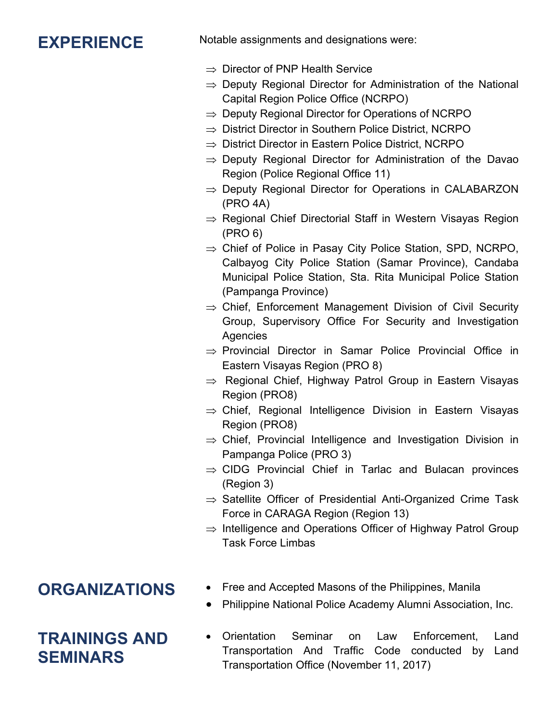**EXPERIENCE** Notable assignments and designations were:

- $\Rightarrow$  Director of PNP Health Service
- $\Rightarrow$  Deputy Regional Director for Administration of the National Capital Region Police Office (NCRPO)
- $\Rightarrow$  Deputy Regional Director for Operations of NCRPO
- $\Rightarrow$  District Director in Southern Police District, NCRPO
- $\Rightarrow$  District Director in Eastern Police District, NCRPO
- $\Rightarrow$  Deputy Regional Director for Administration of the Davao Region (Police Regional Office 11)
- $\Rightarrow$  Deputy Regional Director for Operations in CALABARZON (PRO 4A)
- $\Rightarrow$  Regional Chief Directorial Staff in Western Visayas Region (PRO 6)
- $\Rightarrow$  Chief of Police in Pasay City Police Station, SPD, NCRPO, Calbayog City Police Station (Samar Province), Candaba Municipal Police Station, Sta. Rita Municipal Police Station (Pampanga Province)
- $\Rightarrow$  Chief, Enforcement Management Division of Civil Security Group, Supervisory Office For Security and Investigation **Agencies**
- $\Rightarrow$  Provincial Director in Samar Police Provincial Office in Eastern Visayas Region (PRO 8)
- $\Rightarrow$  Regional Chief, Highway Patrol Group in Eastern Visayas Region (PRO8)
- $\Rightarrow$  Chief, Regional Intelligence Division in Eastern Visayas Region (PRO8)
- $\Rightarrow$  Chief, Provincial Intelligence and Investigation Division in Pampanga Police (PRO 3)
- $\Rightarrow$  CIDG Provincial Chief in Tarlac and Bulacan provinces (Region 3)
- $\Rightarrow$  Satellite Officer of Presidential Anti-Organized Crime Task Force in CARAGA Region (Region 13)
- $\Rightarrow$  Intelligence and Operations Officer of Highway Patrol Group Task Force Limbas

### **TRAININGS AND SEMINARS**

- **ORGANIZATIONS** Free and Accepted Masons of the Philippines, Manila
	- Philippine National Police Academy Alumni Association, Inc.
	- Orientation Seminar on Law Enforcement, Land Transportation And Traffic Code conducted by Land Transportation Office (November 11, 2017)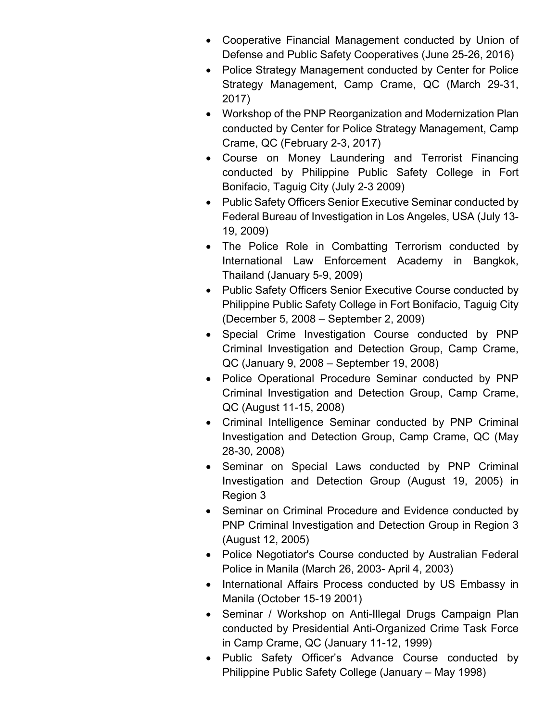- Cooperative Financial Management conducted by Union of Defense and Public Safety Cooperatives (June 25-26, 2016)
- Police Strategy Management conducted by Center for Police Strategy Management, Camp Crame, QC (March 29-31, 2017)
- Workshop of the PNP Reorganization and Modernization Plan conducted by Center for Police Strategy Management, Camp Crame, QC (February 2-3, 2017)
- Course on Money Laundering and Terrorist Financing conducted by Philippine Public Safety College in Fort Bonifacio, Taguig City (July 2-3 2009)
- Public Safety Officers Senior Executive Seminar conducted by Federal Bureau of Investigation in Los Angeles, USA (July 13- 19, 2009)
- The Police Role in Combatting Terrorism conducted by International Law Enforcement Academy in Bangkok, Thailand (January 5-9, 2009)
- Public Safety Officers Senior Executive Course conducted by Philippine Public Safety College in Fort Bonifacio, Taguig City (December 5, 2008 – September 2, 2009)
- Special Crime Investigation Course conducted by PNP Criminal Investigation and Detection Group, Camp Crame, QC (January 9, 2008 – September 19, 2008)
- Police Operational Procedure Seminar conducted by PNP Criminal Investigation and Detection Group, Camp Crame, QC (August 11-15, 2008)
- Criminal Intelligence Seminar conducted by PNP Criminal Investigation and Detection Group, Camp Crame, QC (May 28-30, 2008)
- Seminar on Special Laws conducted by PNP Criminal Investigation and Detection Group (August 19, 2005) in Region 3
- Seminar on Criminal Procedure and Evidence conducted by PNP Criminal Investigation and Detection Group in Region 3 (August 12, 2005)
- Police Negotiator's Course conducted by Australian Federal Police in Manila (March 26, 2003- April 4, 2003)
- International Affairs Process conducted by US Embassy in Manila (October 15-19 2001)
- Seminar / Workshop on Anti-Illegal Drugs Campaign Plan conducted by Presidential Anti-Organized Crime Task Force in Camp Crame, QC (January 11-12, 1999)
- Public Safety Officer's Advance Course conducted by Philippine Public Safety College (January – May 1998)